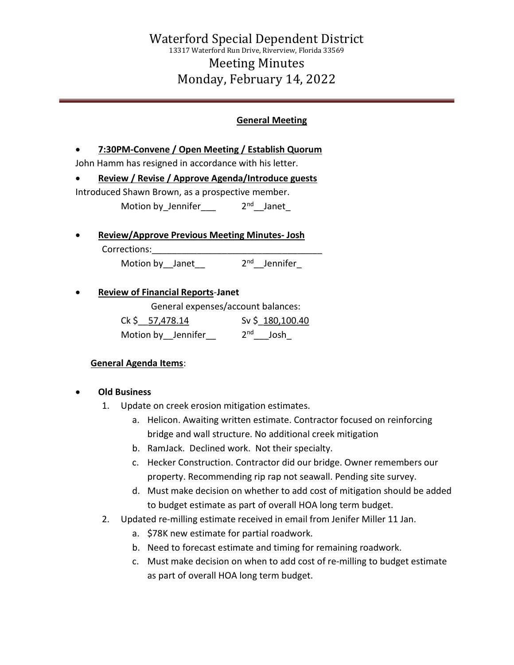## General Meeting

# 7:30PM-Convene / Open Meeting / Establish Quorum

John Hamm has resigned in accordance with his letter.

Review / Revise / Approve Agenda/Introduce guests

Introduced Shawn Brown, as a prospective member.

Motion by\_Jennifer\_\_\_ 2<sup>nd</sup>\_Janet\_

 Review/Approve Previous Meeting Minutes- Josh Corrections: Motion by Janet 2<sup>nd</sup> Jennifer

## Review of Financial Reports-Janet

General expenses/account balances:

| $Ck$ \$ 57,478.14  | Sv \$ $180,100.40$ |
|--------------------|--------------------|
| Motion by Jennifer | $2nd$ Josh         |

## General Agenda Items:

#### Old Business

- 1. Update on creek erosion mitigation estimates.
	- a. Helicon. Awaiting written estimate. Contractor focused on reinforcing bridge and wall structure. No additional creek mitigation
	- b. RamJack. Declined work. Not their specialty.
	- c. Hecker Construction. Contractor did our bridge. Owner remembers our property. Recommending rip rap not seawall. Pending site survey.
	- d. Must make decision on whether to add cost of mitigation should be added to budget estimate as part of overall HOA long term budget.
- 2. Updated re-milling estimate received in email from Jenifer Miller 11 Jan.
	- a. \$78K new estimate for partial roadwork.
	- b. Need to forecast estimate and timing for remaining roadwork.
	- c. Must make decision on when to add cost of re-milling to budget estimate as part of overall HOA long term budget.